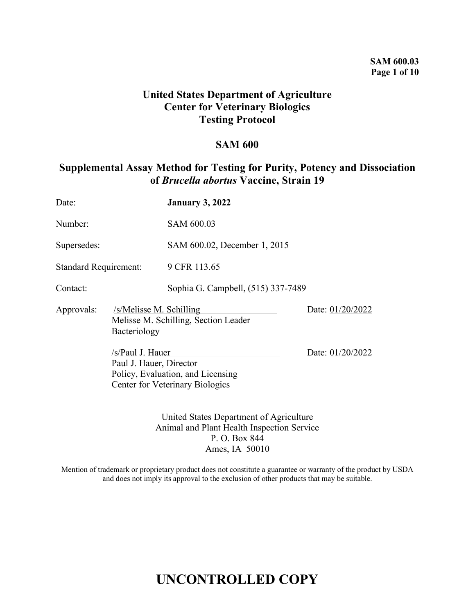# **United States Department of Agriculture Center for Veterinary Biologics Testing Protocol**

# **SAM 600**

# **Supplemental Assay Method for Testing for Purity, Potency and Dissociation of** *Brucella abortus* **Vaccine, Strain 19**

| Date:                        |                                             | <b>January 3, 2022</b>                                               |                  |
|------------------------------|---------------------------------------------|----------------------------------------------------------------------|------------------|
| Number:                      |                                             | SAM 600.03                                                           |                  |
| Supersedes:                  |                                             | SAM 600.02, December 1, 2015                                         |                  |
| <b>Standard Requirement:</b> |                                             | 9 CFR 113.65                                                         |                  |
| Contact:                     |                                             | Sophia G. Campbell, (515) 337-7489                                   |                  |
| Approvals:                   | Bacteriology                                | /s/Melisse M. Schilling<br>Melisse M. Schilling, Section Leader      | Date: 01/20/2022 |
|                              | /s/Paul J. Hauer<br>Paul J. Hauer, Director | Policy, Evaluation, and Licensing<br>Center for Veterinary Biologics | Date: 01/20/2022 |
|                              |                                             | United States Department of Agriculture                              |                  |

Animal and Plant Health Inspection Service P. O. Box 844 Ames, IA 50010

Mention of trademark or proprietary product does not constitute a guarantee or warranty of the product by USDA and does not imply its approval to the exclusion of other products that may be suitable.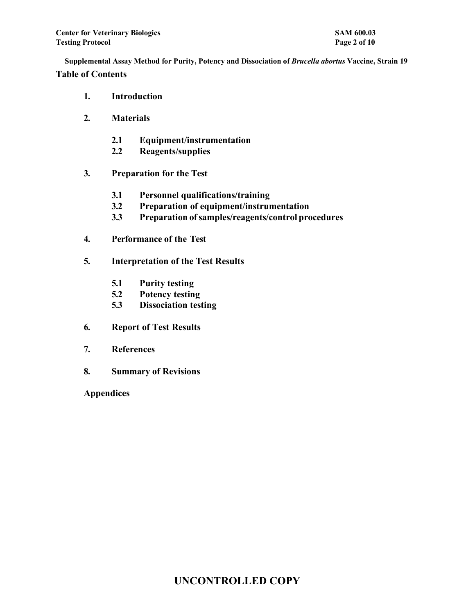- **1. Introduction**
- **2. Materials**
	- **2.1 Equipment/instrumentation**
	- **2.2 Reagents/supplies**
- **3. Preparation for the Test**
	- **3.1 Personnel qualifications/training**
	- **3.2 Preparation of equipment/instrumentation**
	- **3.3 Preparation ofsamples/reagents/control procedures**
- **4. Performance of the Test**
- **5. Interpretation of the Test Results**
	- **5.1 Purity testing**
	- **5.2 Potency testing**
	- **5.3 Dissociation testing**
- **6. Report of Test Results**
- **7. References**
- **8. Summary of Revisions**
- **Appendices**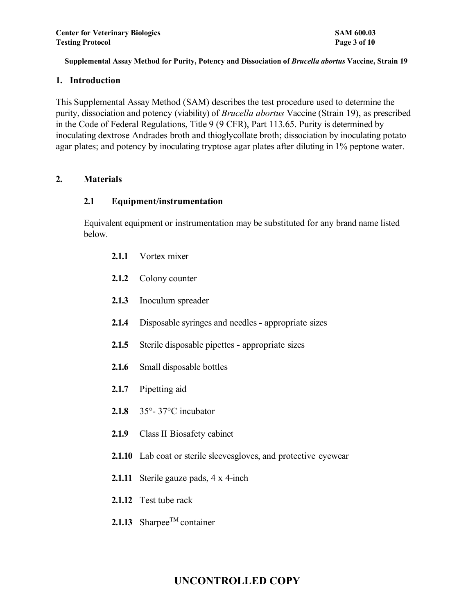#### **1. Introduction**

This Supplemental Assay Method (SAM) describes the test procedure used to determine the purity, dissociation and potency (viability) of *Brucella abortus* Vaccine (Strain 19), as prescribed in the Code of Federal Regulations, Title 9 (9 CFR), Part 113.65. Purity is determined by inoculating dextrose Andrades broth and thioglycollate broth; dissociation by inoculating potato agar plates; and potency by inoculating tryptose agar plates after diluting in 1% peptone water.

# **2. Materials**

#### **2.1 Equipment/instrumentation**

Equivalent equipment or instrumentation may be substituted for any brand name listed below.

- **2.1.1** Vortex mixer
- **2.1.2** Colony counter
- **2.1.3** Inoculum spreader
- **2.1.4** Disposable syringes and needles **-** appropriate sizes
- **2.1.5** Sterile disposable pipettes **-** appropriate sizes
- **2.1.6** Small disposable bottles
- **2.1.7** Pipetting aid
- **2.1.8** 35°- 37°C incubator
- **2.1.9** Class II Biosafety cabinet
- **2.1.10** Lab coat or sterile sleevesgloves, and protective eyewear
- **2.1.11** Sterile gauze pads, 4 x 4-inch
- **2.1.12** Test tube rack
- **2.1.13** Sharpee<sup>TM</sup> container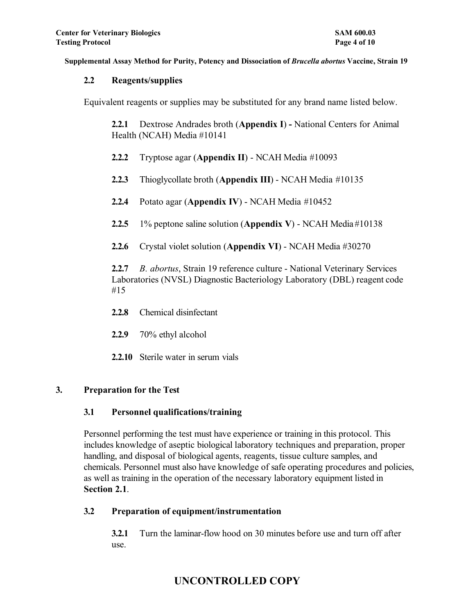# **2.2 Reagents/supplies**

Equivalent reagents or supplies may be substituted for any brand name listed below.

**2.2.1** Dextrose Andrades broth (**Appendix I**) **-** National Centers for Animal Health (NCAH) Media #10141

- **2.2.2** Tryptose agar (**Appendix II**) NCAH Media #10093
- **2.2.3** Thioglycollate broth (**Appendix III**) NCAH Media #10135
- **2.2.4** Potato agar (**Appendix IV**) NCAH Media #10452
- **2.2.5** 1% peptone saline solution (**Appendix V**) NCAH Media #10138
- **2.2.6** Crystal violet solution (**Appendix VI**) NCAH Media #30270

**2.2.7** *B. abortus*, Strain 19 reference culture - National Veterinary Services Laboratories (NVSL) Diagnostic Bacteriology Laboratory (DBL) reagent code #15

- **2.2.8** Chemical disinfectant
- **2.2.9** 70% ethyl alcohol
- **2.2.10** Sterile water in serum vials

# **3. Preparation for the Test**

# **3.1 Personnel qualifications/training**

Personnel performing the test must have experience or training in this protocol. This includes knowledge of aseptic biological laboratory techniques and preparation, proper handling, and disposal of biological agents, reagents, tissue culture samples, and chemicals. Personnel must also have knowledge of safe operating procedures and policies, as well as training in the operation of the necessary laboratory equipment listed in **Section 2.1**.

# **3.2 Preparation of equipment/instrumentation**

**3.2.1** Turn the laminar-flow hood on 30 minutes before use and turn off after use.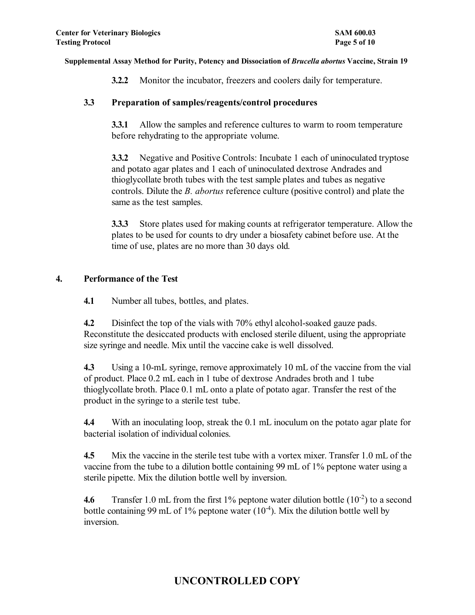**3.2.2** Monitor the incubator, freezers and coolers daily for temperature.

# **3.3 Preparation of samples/reagents/control procedures**

**3.3.1** Allow the samples and reference cultures to warm to room temperature before rehydrating to the appropriate volume.

**3.3.2** Negative and Positive Controls: Incubate 1 each of uninoculated tryptose and potato agar plates and 1 each of uninoculated dextrose Andrades and thioglycollate broth tubes with the test sample plates and tubes as negative controls. Dilute the *B. abortus* reference culture (positive control) and plate the same as the test samples.

**3.3.3** Store plates used for making counts at refrigerator temperature. Allow the plates to be used for counts to dry under a biosafety cabinet before use. At the time of use, plates are no more than 30 days old.

# **4. Performance of the Test**

**4.1** Number all tubes, bottles, and plates.

**4.2** Disinfect the top of the vials with 70% ethyl alcohol-soaked gauze pads. Reconstitute the desiccated products with enclosed sterile diluent, using the appropriate size syringe and needle. Mix until the vaccine cake is well dissolved.

**4.3** Using a 10-mL syringe, remove approximately 10 mL of the vaccine from the vial of product. Place 0.2 mL each in 1 tube of dextrose Andrades broth and 1 tube thioglycollate broth. Place 0.1 mL onto a plate of potato agar. Transfer the rest of the product in the syringe to a sterile test tube.

**4.4** With an inoculating loop, streak the 0.1 mL inoculum on the potato agar plate for bacterial isolation of individual colonies.

**4.5** Mix the vaccine in the sterile test tube with a vortex mixer. Transfer 1.0 mL of the vaccine from the tube to a dilution bottle containing 99 mL of 1% peptone water using a sterile pipette. Mix the dilution bottle well by inversion.

**4.6** Transfer 1.0 mL from the first 1% peptone water dilution bottle  $(10^{-2})$  to a second bottle containing 99 mL of 1% peptone water  $(10<sup>4</sup>)$ . Mix the dilution bottle well by inversion.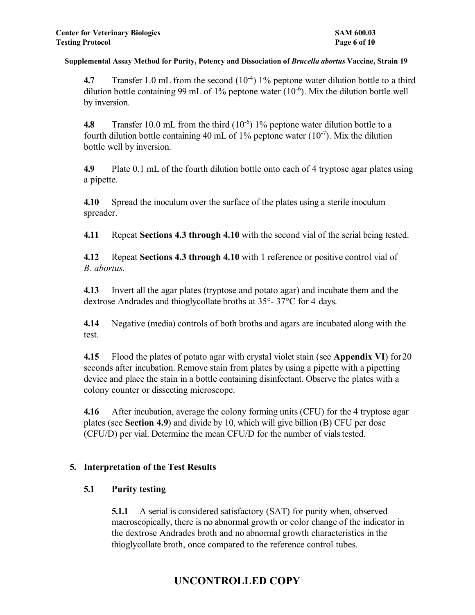**4.7** Transfer 1.0 mL from the second (10<sup>-4</sup>) 1% peptone water dilution bottle to a third dilution bottle containing 99 mL of 1% peptone water  $(10^{-6})$ . Mix the dilution bottle well by inversion.

**4.8** Transfer 10.0 mL from the third (10<sup>-6</sup>) 1% peptone water dilution bottle to a fourth dilution bottle containing 40 mL of 1% peptone water  $(10^{-7})$ . Mix the dilution bottle well by inversion.

**4.9** Plate 0.1 mL of the fourth dilution bottle onto each of 4 tryptose agar plates using a pipette.

**4.10** Spread the inoculum over the surface of the plates using a sterile inoculum spreader.

**4.11** Repeat **Sections 4.3 through 4.10** with the second vial of the serial being tested.

**4.12** Repeat **Sections 4.3 through 4.10** with 1 reference or positive control vial of *B. abortus.*

**4.13** Invert all the agar plates (tryptose and potato agar) and incubate them and the dextrose Andrades and thioglycollate broths at 35°- 37°C for 4 days.

**4.14** Negative (media) controls of both broths and agars are incubated along with the test.

**4.15** Flood the plates of potato agar with crystal violet stain (see **Appendix VI**) for 20 seconds after incubation. Remove stain from plates by using a pipette with a pipetting device and place the stain in a bottle containing disinfectant. Observe the plates with a colony counter or dissecting microscope.

**4.16** After incubation, average the colony forming units (CFU) for the 4 tryptose agar plates (see **Section 4.9**) and divide by 10, which will give billion (B) CFU per dose (CFU/D) per vial. Determine the mean CFU/D for the number of vials tested.

# **5. Interpretation of the Test Results**

# **5.1 Purity testing**

**5.1.1** A serial is considered satisfactory (SAT) for purity when, observed macroscopically, there is no abnormal growth or color change of the indicator in the dextrose Andrades broth and no abnormal growth characteristics in the thioglycollate broth, once compared to the reference control tubes.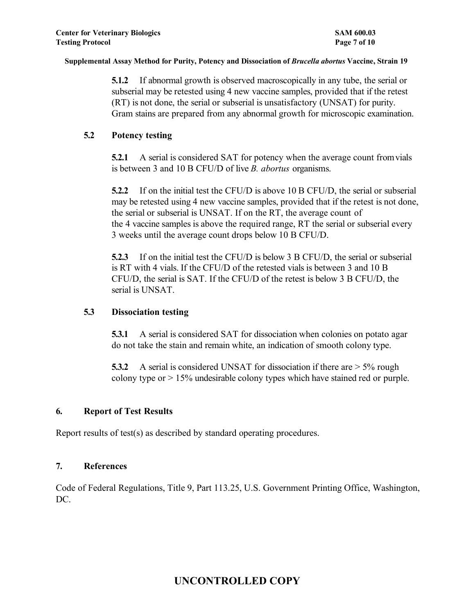**5.1.2** If abnormal growth is observed macroscopically in any tube, the serial or subserial may be retested using 4 new vaccine samples, provided that if the retest (RT) is not done, the serial or subserial is unsatisfactory (UNSAT) for purity. Gram stains are prepared from any abnormal growth for microscopic examination.

# **5.2 Potency testing**

**5.2.1** A serial is considered SAT for potency when the average count fromvials is between 3 and 10 B CFU/D of live *B. abortus* organisms.

**5.2.2** If on the initial test the CFU/D is above 10 B CFU/D, the serial or subserial may be retested using 4 new vaccine samples, provided that if the retest is not done, the serial or subserial is UNSAT. If on the RT, the average count of the 4 vaccine samples is above the required range, RT the serial or subserial every 3 weeks until the average count drops below 10 B CFU/D.

**5.2.3** If on the initial test the CFU/D is below 3 B CFU/D, the serial or subserial is RT with 4 vials. If the CFU/D of the retested vials is between 3 and 10 B CFU/D, the serial is SAT. If the CFU/D of the retest is below 3 B CFU/D, the serial is UNSAT.

# **5.3 Dissociation testing**

**5.3.1** A serial is considered SAT for dissociation when colonies on potato agar do not take the stain and remain white, an indication of smooth colony type.

**5.3.2** A serial is considered UNSAT for dissociation if there are  $>$  5% rough colony type or > 15% undesirable colony types which have stained red or purple.

# **6. Report of Test Results**

Report results of test(s) as described by standard operating procedures.

# **7. References**

Code of Federal Regulations, Title 9, Part 113.25, U.S. Government Printing Office, Washington, DC.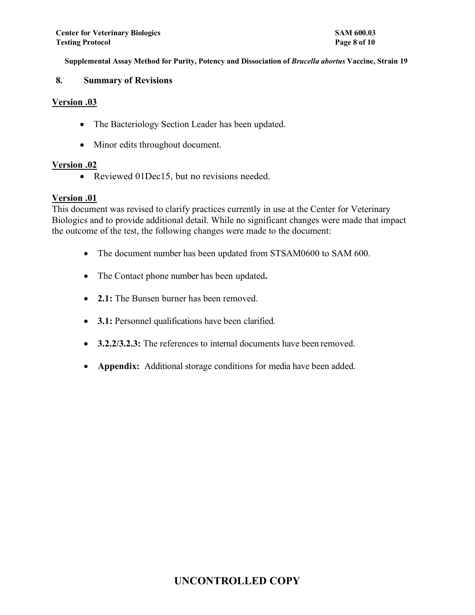#### **8. Summary of Revisions**

#### **Version .03**

- The Bacteriology Section Leader has been updated.
- Minor edits throughout document.

# **Version .02**

• Reviewed 01Dec15, but no revisions needed.

# **Version .01**

This document was revised to clarify practices currently in use at the Center for Veterinary Biologics and to provide additional detail. While no significant changes were made that impact the outcome of the test, the following changes were made to the document:

- The document number has been updated from STSAM0600 to SAM 600.
- The Contact phone number has been updated**.**
- **2.1:** The Bunsen burner has been removed.
- **3.1:** Personnel qualifications have been clarified.
- **3.2.2/3.2.3:** The references to internal documents have been removed.
- **Appendix:** Additional storage conditions for media have been added.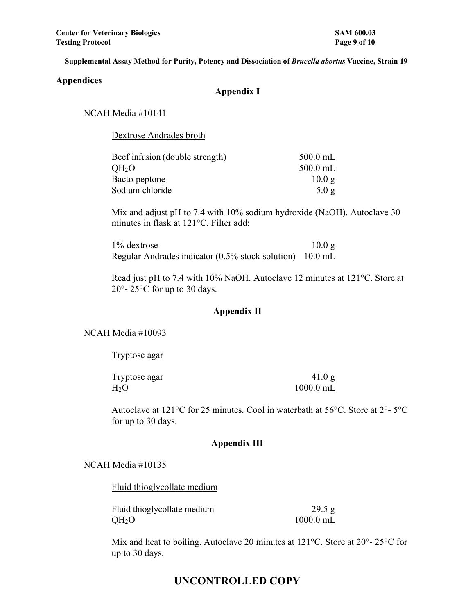#### **Appendices**

# **Appendix I**

NCAH Media #10141

Dextrose Andrades broth

| Beef infusion (double strength) | $500.0$ mL |
|---------------------------------|------------|
| OH <sub>2</sub> O               | $500.0$ mL |
| Bacto peptone                   | 10.0 g     |
| Sodium chloride                 | 5.0 g      |

Mix and adjust pH to 7.4 with 10% sodium hydroxide (NaOH). Autoclave 30 minutes in flask at 121°C. Filter add:

1% dextrose 10.0 g Regular Andrades indicator (0.5% stock solution) 10.0 mL

Read just pH to 7.4 with 10% NaOH. Autoclave 12 minutes at 121°C. Store at 20°- 25°C for up to 30 days.

#### **Appendix II**

#### NCAH Media #10093

Tryptose agar

| Tryptose agar | 41.0 g      |
|---------------|-------------|
| $\rm H_2O$    | $1000.0$ mL |

Autoclave at 121°C for 25 minutes. Cool in waterbath at 56°C. Store at 2°- 5°C for up to 30 days.

# **Appendix III**

#### NCAH Media #10135

Fluid thioglycollate medium

| Fluid thioglycollate medium | 29.5 g      |
|-----------------------------|-------------|
| $QH_2O$                     | $1000.0$ mL |

Mix and heat to boiling. Autoclave 20 minutes at 121°C. Store at 20°- 25°C for up to 30 days.